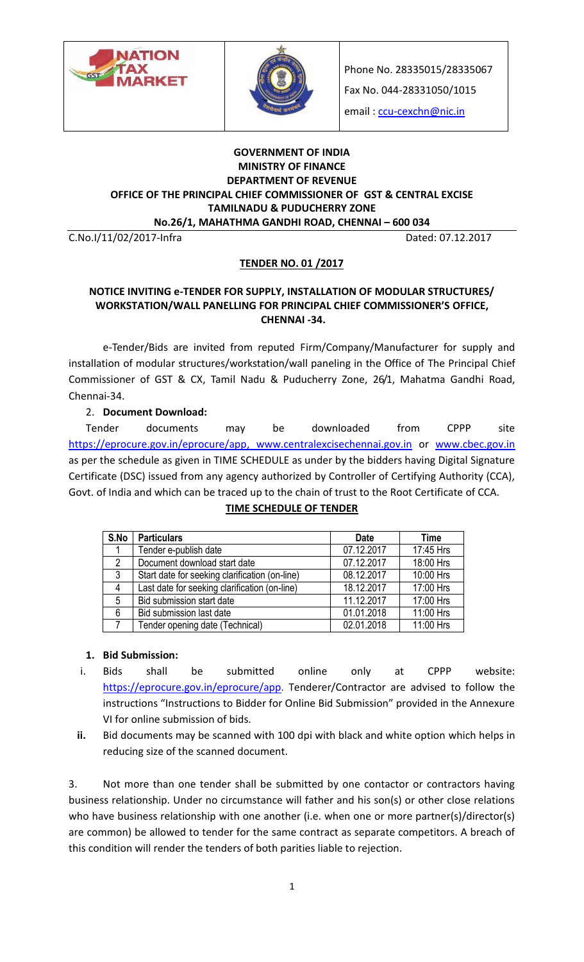



Phone No. 28335015/28335067

Fax No. 044-28331050/1015

email: [ccu-cexchn@nic.in](mailto:ccu-cexchn@nic.in)

#### **GOVERNMENT OF INDIA MINISTRY OF FINANCE DEPARTMENT OF REVENUE OFFICE OF THE PRINCIPAL CHIEF COMMISSIONER OF GST & CENTRAL EXCISE TAMILNADU & PUDUCHERRY ZONE No.26/1, MAHATHMA GANDHI ROAD, CHENNAI – 600 034**

C.No.I/11/02/2017-Infra Dated: 07.12.2017

### **TENDER NO. 01 /2017**

#### **NOTICE INVITING e-TENDER FOR SUPPLY, INSTALLATION OF MODULAR STRUCTURES/ WORKSTATION/WALL PANELLING FOR PRINCIPAL CHIEF COMMISSIONER'S OFFICE, CHENNAI -34.**

e-Tender/Bids are invited from reputed Firm/Company/Manufacturer for supply and installation of modular structures/workstation/wall paneling in the Office of The Principal Chief Commissioner of GST & CX, Tamil Nadu & Puducherry Zone, 26/1, Mahatma Gandhi Road, Chennai-34.

2. **Document Download:** 

Tender documents may be downloaded from CPPP site [https://eprocure.gov.in/eprocure/app,](https://eprocure.gov.in/eprocure/app) [www.centralexcisechennai.gov.in](http://www.centralexcisechennai.gov.in/) or [www.cbec.gov.in](http://www.cbec.gov.in/) as per the schedule as given in TIME SCHEDULE as under by the bidders having Digital Signature Certificate (DSC) issued from any agency authorized by Controller of Certifying Authority (CCA), Govt. of India and which can be traced up to the chain of trust to the Root Certificate of CCA.

| S.No           | <b>Particulars</b>                             | <b>Date</b> | <b>Time</b> |
|----------------|------------------------------------------------|-------------|-------------|
|                | Tender e-publish date                          | 07.12.2017  | 17:45 Hrs   |
| $\mathcal{P}$  | Document download start date                   | 07.12.2017  | 18:00 Hrs   |
| 3              | Start date for seeking clarification (on-line) | 08.12.2017  | 10:00 Hrs   |
| $\overline{4}$ | Last date for seeking clarification (on-line)  | 18.12.2017  | 17:00 Hrs   |
| 5              | Bid submission start date                      | 11.12.2017  | 17:00 Hrs   |
| 6              | Bid submission last date                       | 01.01.2018  | 11:00 Hrs   |
|                | Tender opening date (Technical)                | 02.01.2018  | 11:00 Hrs   |

### **TIME SCHEDULE OF TENDER**

### **1. Bid Submission:**

- i. Bids shall be submitted online only at CPPP website: <https://eprocure.gov.in/eprocure/app>. Tenderer/Contractor are advised to follow the instructions "Instructions to Bidder for Online Bid Submission" provided in the Annexure VI for online submission of bids.
- **ii.** Bid documents may be scanned with 100 dpi with black and white option which helps in reducing size of the scanned document.

3. Not more than one tender shall be submitted by one contactor or contractors having business relationship. Under no circumstance will father and his son(s) or other close relations who have business relationship with one another (i.e. when one or more partner(s)/director(s) are common) be allowed to tender for the same contract as separate competitors. A breach of this condition will render the tenders of both parities liable to rejection.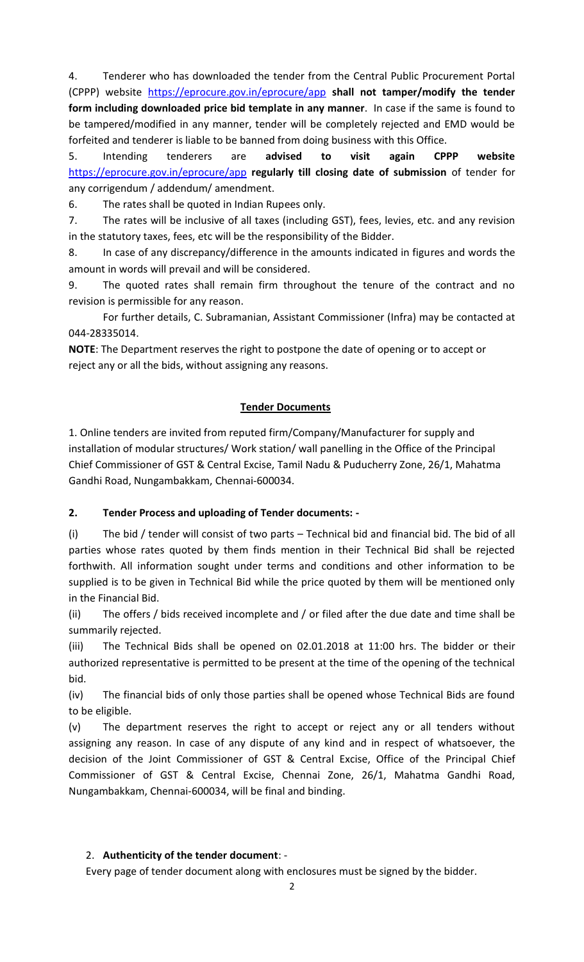4. Tenderer who has downloaded the tender from the Central Public Procurement Portal (CPPP) website <https://eprocure.gov.in/eprocure/app> **shall not tamper/modify the tender form including downloaded price bid template in any manner**. In case if the same is found to be tampered/modified in any manner, tender will be completely rejected and EMD would be forfeited and tenderer is liable to be banned from doing business with this Office.

5. Intending tenderers are **advised to visit again CPPP website**  <https://eprocure.gov.in/eprocure/app> **regularly till closing date of submission** of tender for any corrigendum / addendum/ amendment.

6. The rates shall be quoted in Indian Rupees only.

7. The rates will be inclusive of all taxes (including GST), fees, levies, etc. and any revision in the statutory taxes, fees, etc will be the responsibility of the Bidder.

8. In case of any discrepancy/difference in the amounts indicated in figures and words the amount in words will prevail and will be considered.

9. The quoted rates shall remain firm throughout the tenure of the contract and no revision is permissible for any reason.

For further details, C. Subramanian, Assistant Commissioner (Infra) may be contacted at 044-28335014.

**NOTE**: The Department reserves the right to postpone the date of opening or to accept or reject any or all the bids, without assigning any reasons.

## **Tender Documents**

1. Online tenders are invited from reputed firm/Company/Manufacturer for supply and installation of modular structures/ Work station/ wall panelling in the Office of the Principal Chief Commissioner of GST & Central Excise, Tamil Nadu & Puducherry Zone, 26/1, Mahatma Gandhi Road, Nungambakkam, Chennai-600034.

### **2. Tender Process and uploading of Tender documents: -**

(i) The bid / tender will consist of two parts – Technical bid and financial bid. The bid of all parties whose rates quoted by them finds mention in their Technical Bid shall be rejected forthwith. All information sought under terms and conditions and other information to be supplied is to be given in Technical Bid while the price quoted by them will be mentioned only in the Financial Bid.

(ii) The offers / bids received incomplete and / or filed after the due date and time shall be summarily rejected.

(iii) The Technical Bids shall be opened on 02.01.2018 at 11:00 hrs. The bidder or their authorized representative is permitted to be present at the time of the opening of the technical bid.

(iv) The financial bids of only those parties shall be opened whose Technical Bids are found to be eligible.

(v) The department reserves the right to accept or reject any or all tenders without assigning any reason. In case of any dispute of any kind and in respect of whatsoever, the decision of the Joint Commissioner of GST & Central Excise, Office of the Principal Chief Commissioner of GST & Central Excise, Chennai Zone, 26/1, Mahatma Gandhi Road, Nungambakkam, Chennai-600034, will be final and binding.

## 2. **Authenticity of the tender document**: -

Every page of tender document along with enclosures must be signed by the bidder.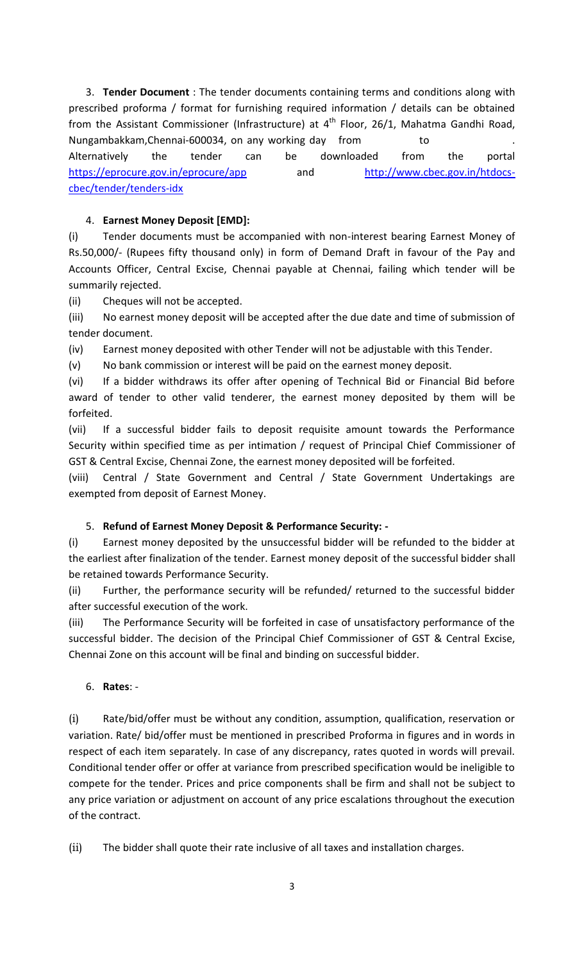3. **Tender Document** : The tender documents containing terms and conditions along with prescribed proforma / format for furnishing required information / details can be obtained from the Assistant Commissioner (Infrastructure) at  $4<sup>th</sup>$  Floor, 26/1, Mahatma Gandhi Road, Nungambakkam, Chennai-600034, on any working day from to Alternatively the tender can be downloaded from the portal <https://eprocure.gov.in/eprocure/app> and [http://www.cbec.gov.in/htdocs](http://www.cbec.gov.in/htdocs-cbec/tender/tenders-idx)[cbec/tender/tenders-idx](http://www.cbec.gov.in/htdocs-cbec/tender/tenders-idx)

## 4. **Earnest Money Deposit [EMD]:**

(i) Tender documents must be accompanied with non-interest bearing Earnest Money of Rs.50,000/- (Rupees fifty thousand only) in form of Demand Draft in favour of the Pay and Accounts Officer, Central Excise, Chennai payable at Chennai, failing which tender will be summarily rejected.

(ii) Cheques will not be accepted.

(iii) No earnest money deposit will be accepted after the due date and time of submission of tender document.

(iv) Earnest money deposited with other Tender will not be adjustable with this Tender.

(v) No bank commission or interest will be paid on the earnest money deposit.

(vi) If a bidder withdraws its offer after opening of Technical Bid or Financial Bid before award of tender to other valid tenderer, the earnest money deposited by them will be forfeited.

(vii) If a successful bidder fails to deposit requisite amount towards the Performance Security within specified time as per intimation / request of Principal Chief Commissioner of GST & Central Excise, Chennai Zone, the earnest money deposited will be forfeited.

(viii) Central / State Government and Central / State Government Undertakings are exempted from deposit of Earnest Money.

## 5. **Refund of Earnest Money Deposit & Performance Security: -**

(i) Earnest money deposited by the unsuccessful bidder will be refunded to the bidder at the earliest after finalization of the tender. Earnest money deposit of the successful bidder shall be retained towards Performance Security.

(ii) Further, the performance security will be refunded/ returned to the successful bidder after successful execution of the work.

(iii) The Performance Security will be forfeited in case of unsatisfactory performance of the successful bidder. The decision of the Principal Chief Commissioner of GST & Central Excise, Chennai Zone on this account will be final and binding on successful bidder.

### 6. **Rates**: -

(i) Rate/bid/offer must be without any condition, assumption, qualification, reservation or variation. Rate/ bid/offer must be mentioned in prescribed Proforma in figures and in words in respect of each item separately. In case of any discrepancy, rates quoted in words will prevail. Conditional tender offer or offer at variance from prescribed specification would be ineligible to compete for the tender. Prices and price components shall be firm and shall not be subject to any price variation or adjustment on account of any price escalations throughout the execution of the contract.

(ii) The bidder shall quote their rate inclusive of all taxes and installation charges.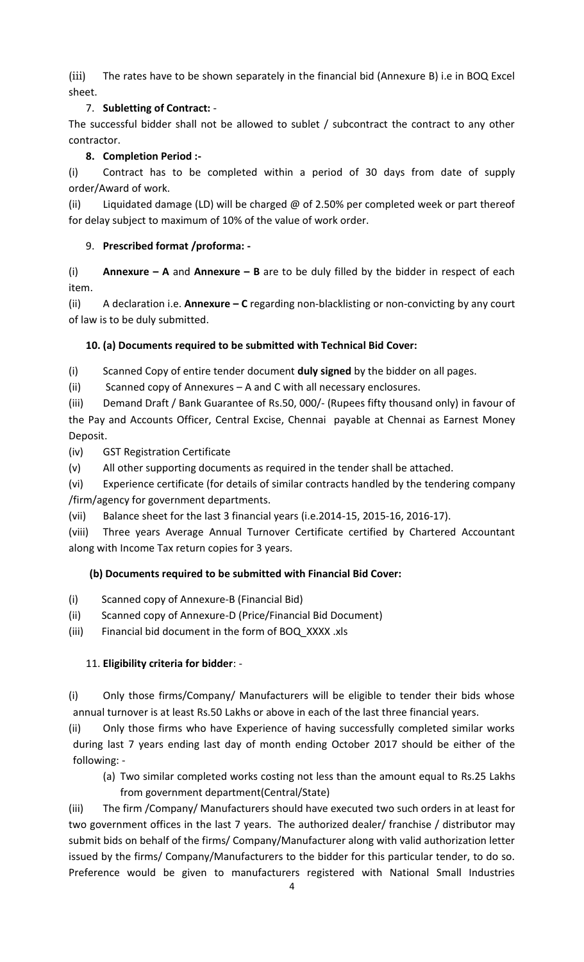(iii) The rates have to be shown separately in the financial bid (Annexure B) i.e in BOQ Excel sheet.

# 7. **Subletting of Contract:** -

The successful bidder shall not be allowed to sublet / subcontract the contract to any other contractor.

# **8. Completion Period :-**

(i) Contract has to be completed within a period of 30 days from date of supply order/Award of work.

(ii) Liquidated damage (LD) will be charged @ of 2.50% per completed week or part thereof for delay subject to maximum of 10% of the value of work order.

# 9. **Prescribed format /proforma: -**

(i) **Annexure – A** and **Annexure – B** are to be duly filled by the bidder in respect of each item.

(ii) A declaration i.e. **Annexure – C** regarding non-blacklisting or non-convicting by any court of law is to be duly submitted.

# **10. (a) Documents required to be submitted with Technical Bid Cover:**

(i) Scanned Copy of entire tender document **duly signed** by the bidder on all pages.

(ii) Scanned copy of Annexures – A and C with all necessary enclosures.

(iii) Demand Draft / Bank Guarantee of Rs.50, 000/- (Rupees fifty thousand only) in favour of the Pay and Accounts Officer, Central Excise, Chennai payable at Chennai as Earnest Money Deposit.

(iv) GST Registration Certificate

(v) All other supporting documents as required in the tender shall be attached.

(vi) Experience certificate (for details of similar contracts handled by the tendering company /firm/agency for government departments.

(vii) Balance sheet for the last 3 financial years (i.e.2014-15, 2015-16, 2016-17).

(viii) Three years Average Annual Turnover Certificate certified by Chartered Accountant along with Income Tax return copies for 3 years.

## **(b) Documents required to be submitted with Financial Bid Cover:**

- (i)Scanned copy of Annexure-B (Financial Bid)
- (ii) Scanned copy of Annexure-D (Price/Financial Bid Document)

(iii) Financial bid document in the form of BOQ\_XXXX .xls

## 11. **Eligibility criteria for bidder**: -

(i) Only those firms/Company/ Manufacturers will be eligible to tender their bids whose annual turnover is at least Rs.50 Lakhs or above in each of the last three financial years.

(ii) Only those firms who have Experience of having successfully completed similar works during last 7 years ending last day of month ending October 2017 should be either of the following: -

(a) Two similar completed works costing not less than the amount equal to Rs.25 Lakhs from government department(Central/State)

(iii) The firm /Company/ Manufacturers should have executed two such orders in at least for two government offices in the last 7 years. The authorized dealer/ franchise / distributor may submit bids on behalf of the firms/ Company/Manufacturer along with valid authorization letter issued by the firms/ Company/Manufacturers to the bidder for this particular tender, to do so. Preference would be given to manufacturers registered with National Small Industries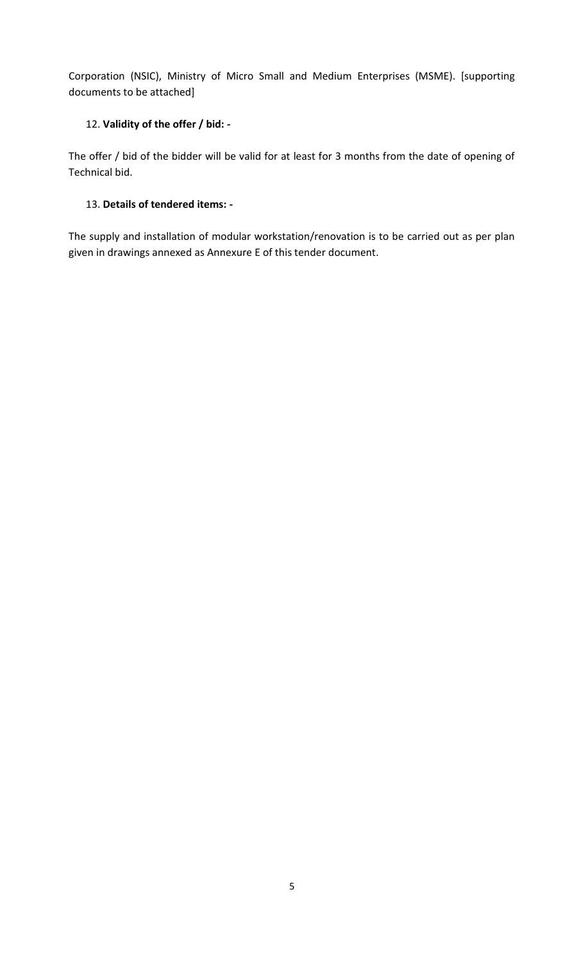Corporation (NSIC), Ministry of Micro Small and Medium Enterprises (MSME). [supporting documents to be attached]

## 12. **Validity of the offer / bid: -**

The offer / bid of the bidder will be valid for at least for 3 months from the date of opening of Technical bid.

### 13. **Details of tendered items: -**

The supply and installation of modular workstation/renovation is to be carried out as per plan given in drawings annexed as Annexure E of this tender document.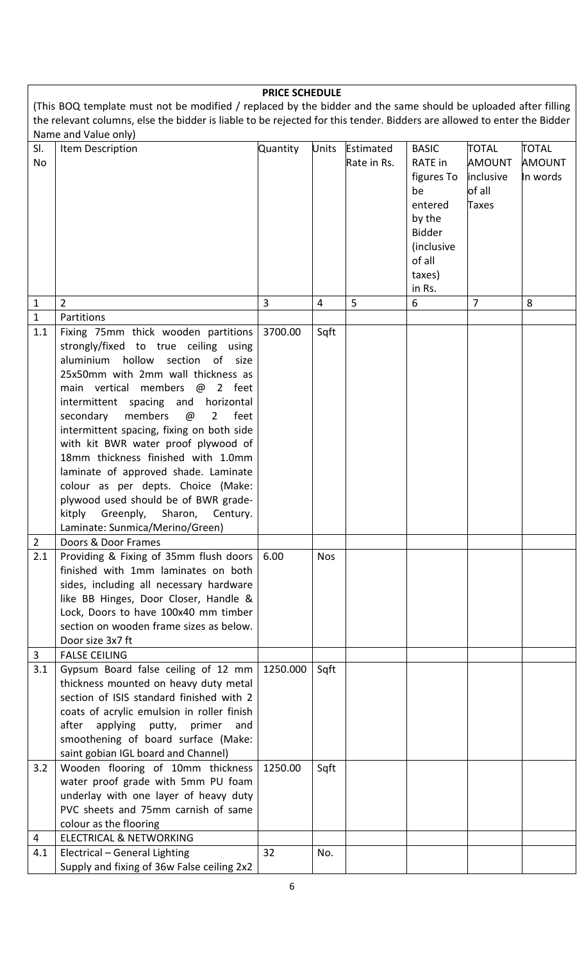| <b>PRICE SCHEDULE</b>                                                                                                                                                                                                                     |                                                                                                                                                                                                                                                                                                                                                                                                                                                                                                                                                                                                                                                   |          |                |                          |                                                                                                                     |                                                                      |                                           |
|-------------------------------------------------------------------------------------------------------------------------------------------------------------------------------------------------------------------------------------------|---------------------------------------------------------------------------------------------------------------------------------------------------------------------------------------------------------------------------------------------------------------------------------------------------------------------------------------------------------------------------------------------------------------------------------------------------------------------------------------------------------------------------------------------------------------------------------------------------------------------------------------------------|----------|----------------|--------------------------|---------------------------------------------------------------------------------------------------------------------|----------------------------------------------------------------------|-------------------------------------------|
| (This BOQ template must not be modified / replaced by the bidder and the same should be uploaded after filling<br>the relevant columns, else the bidder is liable to be rejected for this tender. Bidders are allowed to enter the Bidder |                                                                                                                                                                                                                                                                                                                                                                                                                                                                                                                                                                                                                                                   |          |                |                          |                                                                                                                     |                                                                      |                                           |
| SI.<br>No                                                                                                                                                                                                                                 | Name and Value only)<br>Item Description                                                                                                                                                                                                                                                                                                                                                                                                                                                                                                                                                                                                          | Quantity | <b>Units</b>   | Estimated<br>Rate in Rs. | <b>BASIC</b><br>RATE in<br>figures To<br>be<br>entered<br>by the<br><b>Bidder</b><br>(inclusive<br>of all<br>taxes) | <b>TOTAL</b><br><b>AMOUNT</b><br>inclusive<br>of all<br><b>Taxes</b> | <b>TOTAL</b><br><b>AMOUNT</b><br>In words |
|                                                                                                                                                                                                                                           |                                                                                                                                                                                                                                                                                                                                                                                                                                                                                                                                                                                                                                                   |          |                |                          | in Rs.                                                                                                              | $\overline{7}$                                                       |                                           |
| $1\,$<br>$\mathbf{1}$                                                                                                                                                                                                                     | $\overline{2}$<br>Partitions                                                                                                                                                                                                                                                                                                                                                                                                                                                                                                                                                                                                                      | 3        | $\overline{4}$ | 5                        | 6                                                                                                                   |                                                                      | 8                                         |
| 1.1<br>$\overline{2}$                                                                                                                                                                                                                     | Fixing 75mm thick wooden partitions<br>strongly/fixed to true ceiling using<br>hollow section of size<br>aluminium<br>25x50mm with 2mm wall thickness as<br>main vertical members @ 2 feet<br>intermittent spacing and horizontal<br>members<br>$\overline{2}$<br>feet<br>secondary<br>$\omega$<br>intermittent spacing, fixing on both side<br>with kit BWR water proof plywood of<br>18mm thickness finished with 1.0mm<br>laminate of approved shade. Laminate<br>colour as per depts. Choice (Make:<br>plywood used should be of BWR grade-<br>kitply<br>Greenply, Sharon, Century.<br>Laminate: Sunmica/Merino/Green)<br>Doors & Door Frames | 3700.00  | Sqft           |                          |                                                                                                                     |                                                                      |                                           |
| 2.1                                                                                                                                                                                                                                       | Providing & Fixing of 35mm flush doors<br>finished with 1mm laminates on both<br>sides, including all necessary hardware<br>like BB Hinges, Door Closer, Handle &<br>Lock, Doors to have 100x40 mm timber<br>section on wooden frame sizes as below.<br>Door size 3x7 ft                                                                                                                                                                                                                                                                                                                                                                          | 6.00     | <b>Nos</b>     |                          |                                                                                                                     |                                                                      |                                           |
| $\overline{3}$                                                                                                                                                                                                                            | <b>FALSE CEILING</b>                                                                                                                                                                                                                                                                                                                                                                                                                                                                                                                                                                                                                              |          |                |                          |                                                                                                                     |                                                                      |                                           |
| 3.1                                                                                                                                                                                                                                       | Gypsum Board false ceiling of 12 mm<br>thickness mounted on heavy duty metal<br>section of ISIS standard finished with 2<br>coats of acrylic emulsion in roller finish<br>after<br>applying<br>putty, primer<br>and<br>smoothening of board surface (Make:<br>saint gobian IGL board and Channel)                                                                                                                                                                                                                                                                                                                                                 | 1250.000 | Sqft           |                          |                                                                                                                     |                                                                      |                                           |
| 3.2                                                                                                                                                                                                                                       | Wooden flooring of 10mm thickness<br>water proof grade with 5mm PU foam<br>underlay with one layer of heavy duty<br>PVC sheets and 75mm carnish of same<br>colour as the flooring                                                                                                                                                                                                                                                                                                                                                                                                                                                                 | 1250.00  | Sqft           |                          |                                                                                                                     |                                                                      |                                           |
| 4                                                                                                                                                                                                                                         | <b>ELECTRICAL &amp; NETWORKING</b>                                                                                                                                                                                                                                                                                                                                                                                                                                                                                                                                                                                                                |          |                |                          |                                                                                                                     |                                                                      |                                           |
| 4.1                                                                                                                                                                                                                                       | Electrical - General Lighting<br>Supply and fixing of 36w False ceiling 2x2                                                                                                                                                                                                                                                                                                                                                                                                                                                                                                                                                                       | 32       | No.            |                          |                                                                                                                     |                                                                      |                                           |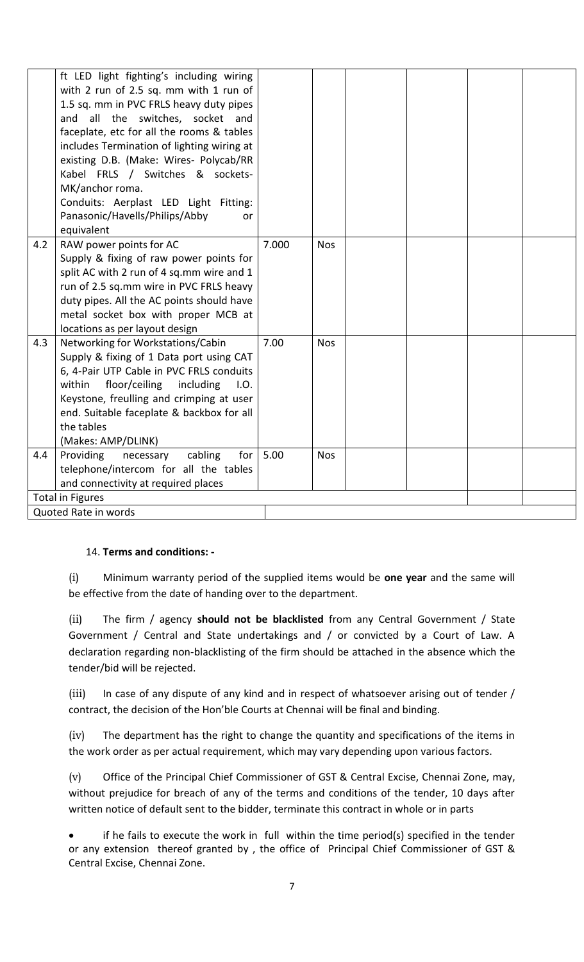|                         | ft LED light fighting's including wiring<br>with 2 run of 2.5 sq. mm with 1 run of<br>1.5 sq. mm in PVC FRLS heavy duty pipes<br>and all the switches, socket and<br>faceplate, etc for all the rooms & tables<br>includes Termination of lighting wiring at<br>existing D.B. (Make: Wires- Polycab/RR<br>Kabel FRLS / Switches & sockets-<br>MK/anchor roma.<br>Conduits: Aerplast LED Light Fitting:<br>Panasonic/Havells/Philips/Abby<br>or<br>equivalent |       |            |  |  |
|-------------------------|--------------------------------------------------------------------------------------------------------------------------------------------------------------------------------------------------------------------------------------------------------------------------------------------------------------------------------------------------------------------------------------------------------------------------------------------------------------|-------|------------|--|--|
| 4.2                     | RAW power points for AC<br>Supply & fixing of raw power points for<br>split AC with 2 run of 4 sq.mm wire and 1<br>run of 2.5 sq.mm wire in PVC FRLS heavy<br>duty pipes. All the AC points should have<br>metal socket box with proper MCB at<br>locations as per layout design                                                                                                                                                                             | 7.000 | <b>Nos</b> |  |  |
| 4.3                     | Networking for Workstations/Cabin<br>Supply & fixing of 1 Data port using CAT<br>6, 4-Pair UTP Cable in PVC FRLS conduits<br>within<br>floor/ceiling<br>including<br>I.O.<br>Keystone, freulling and crimping at user<br>end. Suitable faceplate & backbox for all<br>the tables<br>(Makes: AMP/DLINK)                                                                                                                                                       | 7.00  | <b>Nos</b> |  |  |
| 4.4                     | for<br>Providing<br>cabling<br>necessary<br>telephone/intercom for all the tables<br>and connectivity at required places                                                                                                                                                                                                                                                                                                                                     | 5.00  | <b>Nos</b> |  |  |
| <b>Total in Figures</b> |                                                                                                                                                                                                                                                                                                                                                                                                                                                              |       |            |  |  |
| Quoted Rate in words    |                                                                                                                                                                                                                                                                                                                                                                                                                                                              |       |            |  |  |

### 14. **Terms and conditions: -**

(i) Minimum warranty period of the supplied items would be **one year** and the same will be effective from the date of handing over to the department.

(ii) The firm / agency **should not be blacklisted** from any Central Government / State Government / Central and State undertakings and / or convicted by a Court of Law. A declaration regarding non-blacklisting of the firm should be attached in the absence which the tender/bid will be rejected.

(iii) In case of any dispute of any kind and in respect of whatsoever arising out of tender / contract, the decision of the Hon'ble Courts at Chennai will be final and binding.

(iv) The department has the right to change the quantity and specifications of the items in the work order as per actual requirement, which may vary depending upon various factors.

(v) Office of the Principal Chief Commissioner of GST & Central Excise, Chennai Zone, may, without prejudice for breach of any of the terms and conditions of the tender, 10 days after written notice of default sent to the bidder, terminate this contract in whole or in parts

 if he fails to execute the work in full within the time period(s) specified in the tender or any extension thereof granted by , the office of Principal Chief Commissioner of GST & Central Excise, Chennai Zone.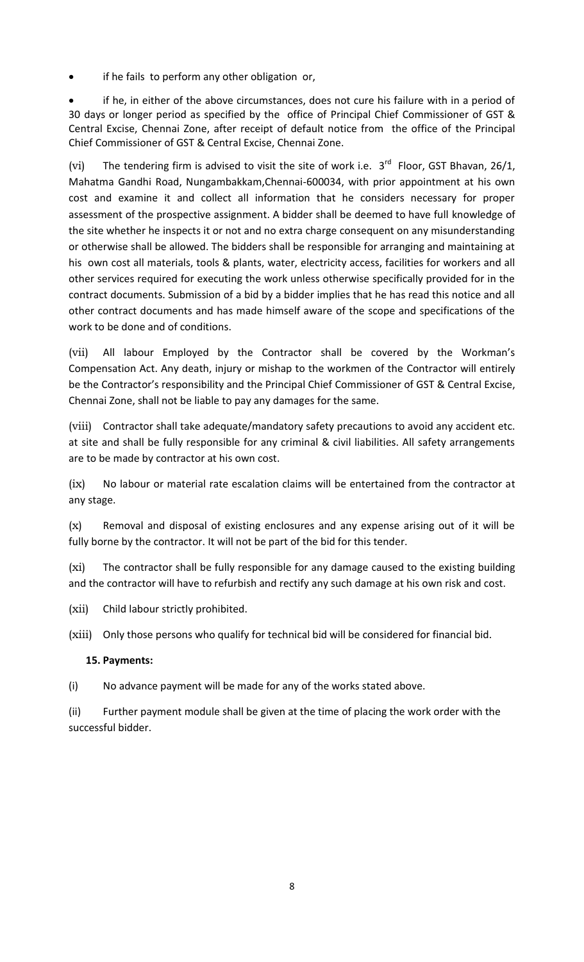if he fails to perform any other obligation or,

 if he, in either of the above circumstances, does not cure his failure with in a period of 30 days or longer period as specified by the office of Principal Chief Commissioner of GST & Central Excise, Chennai Zone, after receipt of default notice from the office of the Principal Chief Commissioner of GST & Central Excise, Chennai Zone.

(vi) The tendering firm is advised to visit the site of work i.e.  $3^{rd}$  Floor, GST Bhavan, 26/1, Mahatma Gandhi Road, Nungambakkam,Chennai-600034, with prior appointment at his own cost and examine it and collect all information that he considers necessary for proper assessment of the prospective assignment. A bidder shall be deemed to have full knowledge of the site whether he inspects it or not and no extra charge consequent on any misunderstanding or otherwise shall be allowed. The bidders shall be responsible for arranging and maintaining at his own cost all materials, tools & plants, water, electricity access, facilities for workers and all other services required for executing the work unless otherwise specifically provided for in the contract documents. Submission of a bid by a bidder implies that he has read this notice and all other contract documents and has made himself aware of the scope and specifications of the work to be done and of conditions.

(vii) All labour Employed by the Contractor shall be covered by the Workman's Compensation Act. Any death, injury or mishap to the workmen of the Contractor will entirely be the Contractor's responsibility and the Principal Chief Commissioner of GST & Central Excise, Chennai Zone, shall not be liable to pay any damages for the same.

(viii) Contractor shall take adequate/mandatory safety precautions to avoid any accident etc. at site and shall be fully responsible for any criminal & civil liabilities. All safety arrangements are to be made by contractor at his own cost.

(ix) No labour or material rate escalation claims will be entertained from the contractor at any stage.

(x) Removal and disposal of existing enclosures and any expense arising out of it will be fully borne by the contractor. It will not be part of the bid for this tender.

(xi) The contractor shall be fully responsible for any damage caused to the existing building and the contractor will have to refurbish and rectify any such damage at his own risk and cost.

- (xii) Child labour strictly prohibited.
- (xiii) Only those persons who qualify for technical bid will be considered for financial bid.

### **15. Payments:**

(i) No advance payment will be made for any of the works stated above.

(ii) Further payment module shall be given at the time of placing the work order with the successful bidder.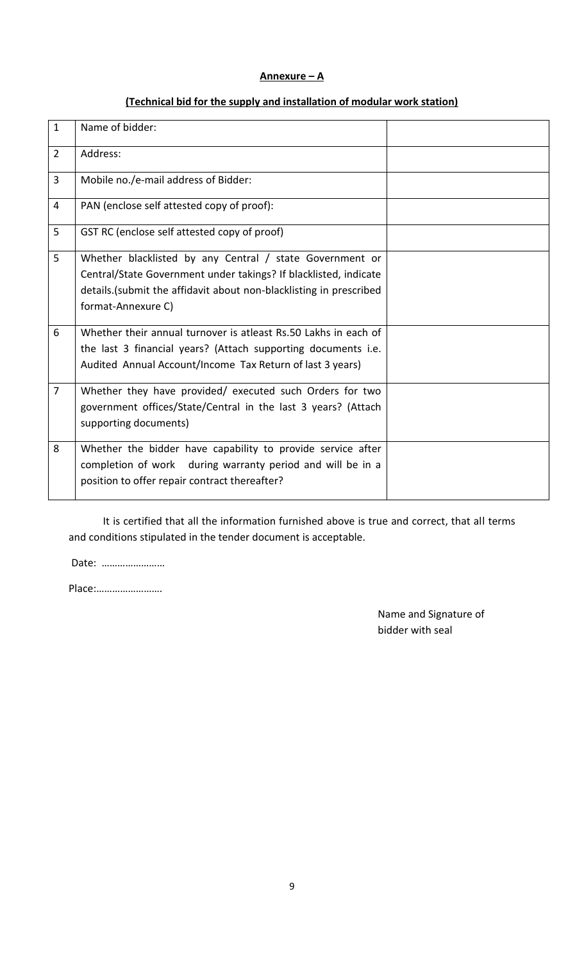#### **Annexure – A**

### **(Technical bid for the supply and installation of modular work station)**

| $\mathbf{1}$   | Name of bidder:                                                                                                                                                                                                           |  |
|----------------|---------------------------------------------------------------------------------------------------------------------------------------------------------------------------------------------------------------------------|--|
| $\overline{2}$ | Address:                                                                                                                                                                                                                  |  |
| 3              | Mobile no./e-mail address of Bidder:                                                                                                                                                                                      |  |
| $\overline{4}$ | PAN (enclose self attested copy of proof):                                                                                                                                                                                |  |
| 5              | GST RC (enclose self attested copy of proof)                                                                                                                                                                              |  |
| 5              | Whether blacklisted by any Central / state Government or<br>Central/State Government under takings? If blacklisted, indicate<br>details. (submit the affidavit about non-blacklisting in prescribed<br>format-Annexure C) |  |
| 6              | Whether their annual turnover is atleast Rs.50 Lakhs in each of<br>the last 3 financial years? (Attach supporting documents i.e.<br>Audited Annual Account/Income Tax Return of last 3 years)                             |  |
| $\overline{7}$ | Whether they have provided/ executed such Orders for two<br>government offices/State/Central in the last 3 years? (Attach<br>supporting documents)                                                                        |  |
| 8              | Whether the bidder have capability to provide service after<br>completion of work during warranty period and will be in a<br>position to offer repair contract thereafter?                                                |  |

It is certified that all the information furnished above is true and correct, that all terms and conditions stipulated in the tender document is acceptable.

Date: ……………………

Place:…………………….

Name and Signature of bidder with seal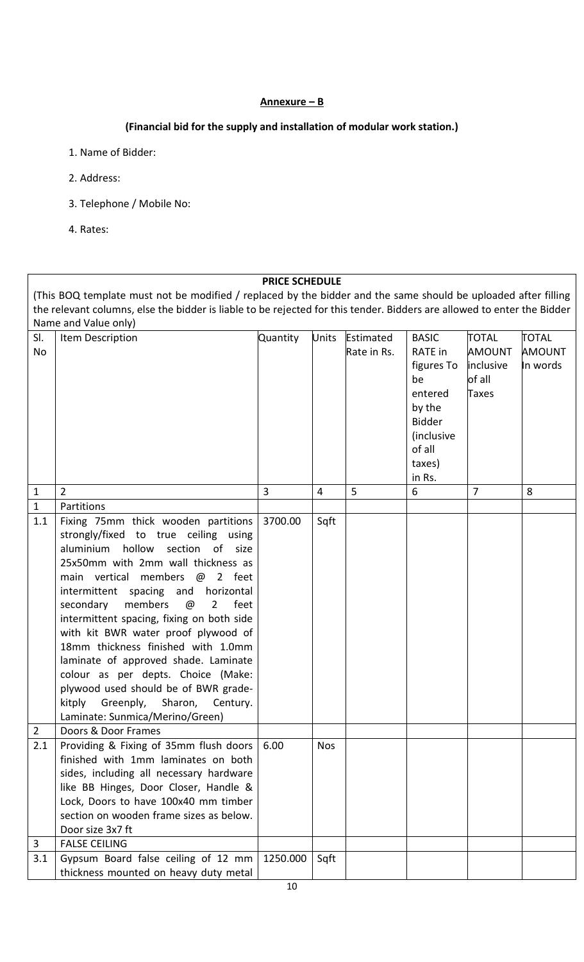### **Annexure – B**

### **(Financial bid for the supply and installation of modular work station.)**

- 1. Name of Bidder:
- 2. Address:
- 3. Telephone / Mobile No:
- 4. Rates:

#### **PRICE SCHEDULE**

(This BOQ template must not be modified / replaced by the bidder and the same should be uploaded after filling the relevant columns, else the bidder is liable to be rejected for this tender. Bidders are allowed to enter the Bidder Name and Value only)

| SI.<br>No           | Item Description                                                                                                                                                                                                                                                                                                                                                                                                                                                                                                                                                                                                                   | <b>Quantity</b> | Units      | Estimated<br>Rate in Rs. | <b>BASIC</b><br>RATE in<br>figures To<br>be<br>entered<br>by the<br><b>Bidder</b><br><i>(inclusive</i> | <b>TOTAL</b><br><b>AMOUNT</b><br>inclusive<br>of all<br>Taxes | <b>TOTAL</b><br><b>AMOUNT</b><br>In words |
|---------------------|------------------------------------------------------------------------------------------------------------------------------------------------------------------------------------------------------------------------------------------------------------------------------------------------------------------------------------------------------------------------------------------------------------------------------------------------------------------------------------------------------------------------------------------------------------------------------------------------------------------------------------|-----------------|------------|--------------------------|--------------------------------------------------------------------------------------------------------|---------------------------------------------------------------|-------------------------------------------|
|                     |                                                                                                                                                                                                                                                                                                                                                                                                                                                                                                                                                                                                                                    |                 |            |                          | of all<br>taxes)                                                                                       |                                                               |                                           |
|                     |                                                                                                                                                                                                                                                                                                                                                                                                                                                                                                                                                                                                                                    |                 |            |                          | in Rs.                                                                                                 |                                                               |                                           |
| $\mathbf{1}$        | $\overline{2}$                                                                                                                                                                                                                                                                                                                                                                                                                                                                                                                                                                                                                     | 3               | 4          | 5                        | 6                                                                                                      | $\overline{7}$                                                | 8                                         |
| $\mathbf{1}$<br>1.1 | Partitions<br>Fixing 75mm thick wooden partitions<br>strongly/fixed to true ceiling using<br>aluminium hollow section of size<br>25x50mm with 2mm wall thickness as<br>main vertical members @ 2 feet<br>intermittent spacing and horizontal<br>members<br>feet<br>secondary<br>$\omega$<br>$\overline{2}$<br>intermittent spacing, fixing on both side<br>with kit BWR water proof plywood of<br>18mm thickness finished with 1.0mm<br>laminate of approved shade. Laminate<br>colour as per depts. Choice (Make:<br>plywood used should be of BWR grade-<br>kitply Greenply, Sharon, Century.<br>Laminate: Sunmica/Merino/Green) | 3700.00         | Sqft       |                          |                                                                                                        |                                                               |                                           |
| $\overline{2}$      | Doors & Door Frames                                                                                                                                                                                                                                                                                                                                                                                                                                                                                                                                                                                                                |                 |            |                          |                                                                                                        |                                                               |                                           |
| 2.1                 | Providing & Fixing of 35mm flush doors<br>finished with 1mm laminates on both<br>sides, including all necessary hardware<br>like BB Hinges, Door Closer, Handle &<br>Lock, Doors to have 100x40 mm timber<br>section on wooden frame sizes as below.<br>Door size 3x7 ft                                                                                                                                                                                                                                                                                                                                                           | 6.00            | <b>Nos</b> |                          |                                                                                                        |                                                               |                                           |
| 3                   | <b>FALSE CEILING</b>                                                                                                                                                                                                                                                                                                                                                                                                                                                                                                                                                                                                               |                 |            |                          |                                                                                                        |                                                               |                                           |
| 3.1                 | Gypsum Board false ceiling of 12 mm<br>thickness mounted on heavy duty metal                                                                                                                                                                                                                                                                                                                                                                                                                                                                                                                                                       | 1250.000        | Sqft       |                          |                                                                                                        |                                                               |                                           |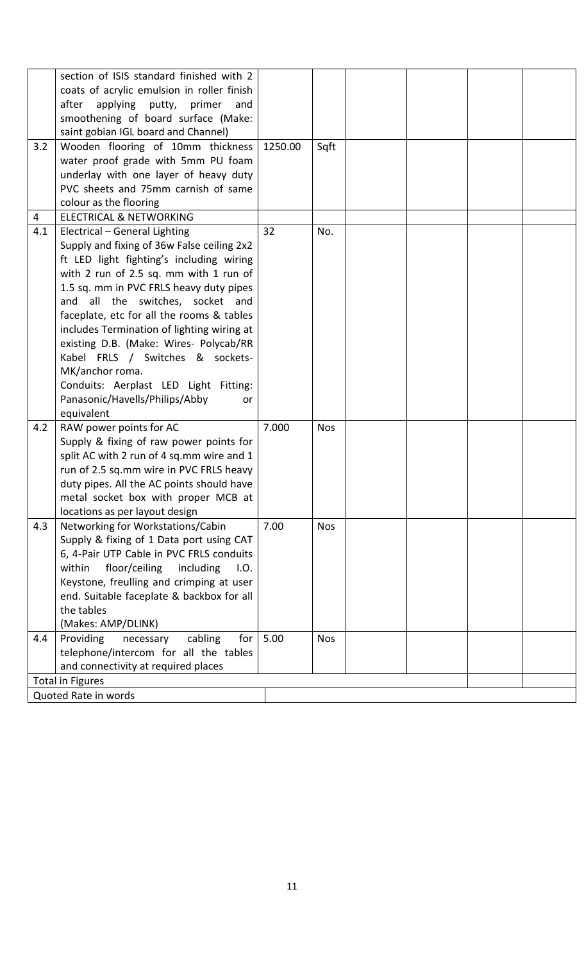|     | section of ISIS standard finished with 2<br>coats of acrylic emulsion in roller finish |         |            |  |  |
|-----|----------------------------------------------------------------------------------------|---------|------------|--|--|
|     | applying putty, primer<br>after<br>and                                                 |         |            |  |  |
|     | smoothening of board surface (Make:                                                    |         |            |  |  |
|     | saint gobian IGL board and Channel)                                                    |         |            |  |  |
| 3.2 | Wooden flooring of 10mm thickness                                                      | 1250.00 | Sqft       |  |  |
|     | water proof grade with 5mm PU foam                                                     |         |            |  |  |
|     | underlay with one layer of heavy duty                                                  |         |            |  |  |
|     | PVC sheets and 75mm carnish of same                                                    |         |            |  |  |
|     | colour as the flooring                                                                 |         |            |  |  |
| 4   | <b>ELECTRICAL &amp; NETWORKING</b>                                                     |         |            |  |  |
| 4.1 |                                                                                        | 32      | No.        |  |  |
|     | Electrical - General Lighting                                                          |         |            |  |  |
|     | Supply and fixing of 36w False ceiling 2x2                                             |         |            |  |  |
|     | ft LED light fighting's including wiring<br>with 2 run of 2.5 sq. mm with 1 run of     |         |            |  |  |
|     |                                                                                        |         |            |  |  |
|     | 1.5 sq. mm in PVC FRLS heavy duty pipes<br>and all the switches, socket and            |         |            |  |  |
|     | faceplate, etc for all the rooms & tables                                              |         |            |  |  |
|     | includes Termination of lighting wiring at                                             |         |            |  |  |
|     | existing D.B. (Make: Wires- Polycab/RR                                                 |         |            |  |  |
|     | Kabel FRLS / Switches & sockets-                                                       |         |            |  |  |
|     | MK/anchor roma.                                                                        |         |            |  |  |
|     | Conduits: Aerplast LED Light Fitting:                                                  |         |            |  |  |
|     | Panasonic/Havells/Philips/Abby<br>or                                                   |         |            |  |  |
|     | equivalent                                                                             |         |            |  |  |
| 4.2 | RAW power points for AC                                                                | 7.000   | <b>Nos</b> |  |  |
|     | Supply & fixing of raw power points for                                                |         |            |  |  |
|     | split AC with 2 run of 4 sq.mm wire and 1                                              |         |            |  |  |
|     | run of 2.5 sq.mm wire in PVC FRLS heavy                                                |         |            |  |  |
|     | duty pipes. All the AC points should have                                              |         |            |  |  |
|     | metal socket box with proper MCB at                                                    |         |            |  |  |
|     | locations as per layout design                                                         |         |            |  |  |
| 4.3 | Networking for Workstations/Cabin                                                      | 7.00    | <b>Nos</b> |  |  |
|     | Supply & fixing of 1 Data port using CAT                                               |         |            |  |  |
|     | 6, 4-Pair UTP Cable in PVC FRLS conduits                                               |         |            |  |  |
|     | within<br>floor/ceiling<br>including<br>I.O.                                           |         |            |  |  |
|     | Keystone, freulling and crimping at user                                               |         |            |  |  |
|     | end. Suitable faceplate & backbox for all                                              |         |            |  |  |
|     | the tables                                                                             |         |            |  |  |
|     | (Makes: AMP/DLINK)                                                                     |         |            |  |  |
| 4.4 | Providing<br>cabling<br>for<br>necessary                                               | 5.00    | <b>Nos</b> |  |  |
|     | telephone/intercom for all the tables                                                  |         |            |  |  |
|     | and connectivity at required places                                                    |         |            |  |  |
|     | <b>Total in Figures</b>                                                                |         |            |  |  |
|     | Quoted Rate in words                                                                   |         |            |  |  |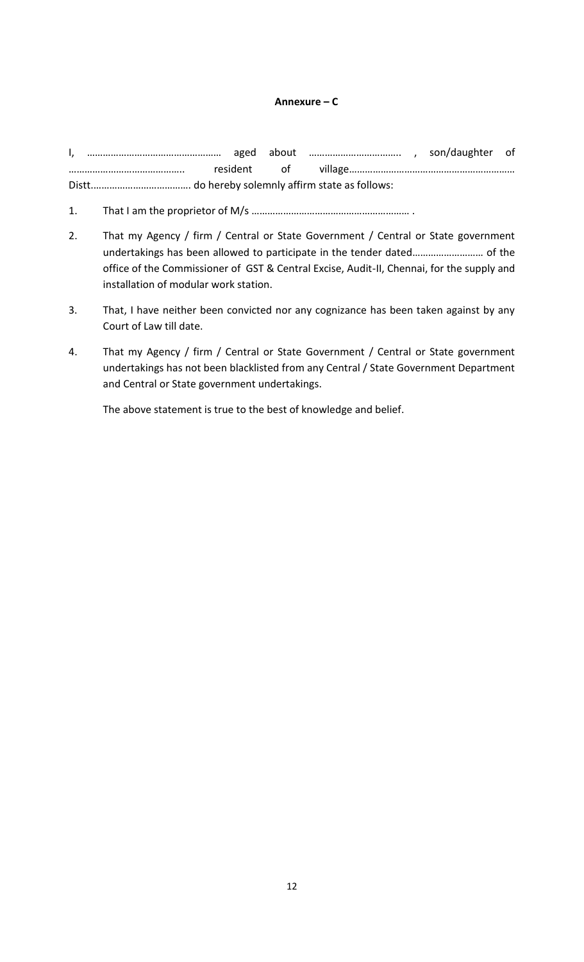#### **Annexure – C**

I, …………………………………………… aged about …………………………….. , son/daughter of …………………………………….. resident of village……………………………………………………… Distt.………………………………. do hereby solemnly affirm state as follows:

- 1. That I am the proprietor of M/s …………………………………………………… .
- 2. That my Agency / firm / Central or State Government / Central or State government undertakings has been allowed to participate in the tender dated……………………… of the office of the Commissioner of GST & Central Excise, Audit-II, Chennai, for the supply and installation of modular work station.
- 3. That, I have neither been convicted nor any cognizance has been taken against by any Court of Law till date.
- 4. That my Agency / firm / Central or State Government / Central or State government undertakings has not been blacklisted from any Central / State Government Department and Central or State government undertakings.

The above statement is true to the best of knowledge and belief.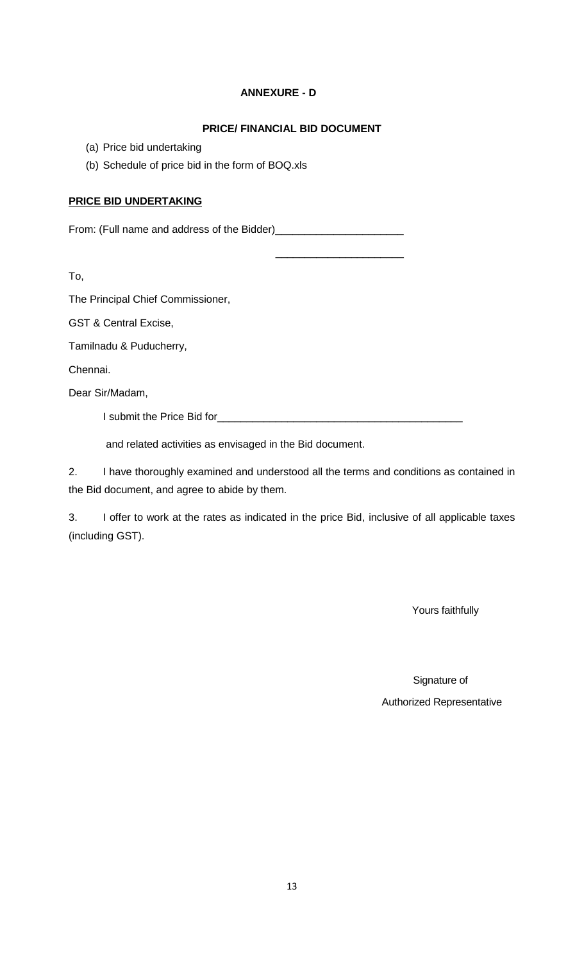### **ANNEXURE - D**

### **PRICE/ FINANCIAL BID DOCUMENT**

\_\_\_\_\_\_\_\_\_\_\_\_\_\_\_\_\_\_\_\_\_\_

- (a) Price bid undertaking
- (b) Schedule of price bid in the form of BOQ.xls

### **PRICE BID UNDERTAKING**

From: (Full name and address of the Bidder)\_\_\_\_\_\_\_\_\_\_\_\_\_\_\_\_\_\_\_\_\_\_

To,

The Principal Chief Commissioner,

GST & Central Excise,

Tamilnadu & Puducherry,

Chennai.

Dear Sir/Madam,

I submit the Price Bid for

and related activities as envisaged in the Bid document.

2. I have thoroughly examined and understood all the terms and conditions as contained in the Bid document, and agree to abide by them.

3. I offer to work at the rates as indicated in the price Bid, inclusive of all applicable taxes (including GST).

Yours faithfully

 Signature of Authorized Representative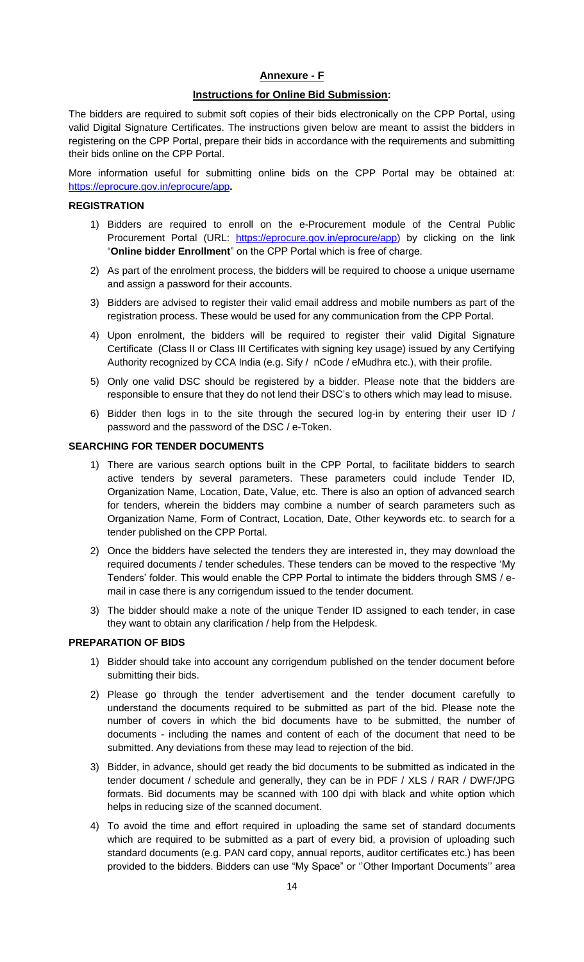#### **Annexure - F**

#### **Instructions for Online Bid Submission:**

The bidders are required to submit soft copies of their bids electronically on the CPP Portal, using valid Digital Signature Certificates. The instructions given below are meant to assist the bidders in registering on the CPP Portal, prepare their bids in accordance with the requirements and submitting their bids online on the CPP Portal.

More information useful for submitting online bids on the CPP Portal may be obtained at: <https://eprocure.gov.in/eprocure/app>**.**

#### **REGISTRATION**

- 1) Bidders are required to enroll on the e-Procurement module of the Central Public Procurement Portal (URL: [https://eprocure.gov.in/eprocure/app\)](https://eprocure.gov.in/eprocure/app) by clicking on the link "**Online bidder Enrollment**" on the CPP Portal which is free of charge.
- 2) As part of the enrolment process, the bidders will be required to choose a unique username and assign a password for their accounts.
- 3) Bidders are advised to register their valid email address and mobile numbers as part of the registration process. These would be used for any communication from the CPP Portal.
- 4) Upon enrolment, the bidders will be required to register their valid Digital Signature Certificate (Class II or Class III Certificates with signing key usage) issued by any Certifying Authority recognized by CCA India (e.g. Sify / nCode / eMudhra etc.), with their profile.
- 5) Only one valid DSC should be registered by a bidder. Please note that the bidders are responsible to ensure that they do not lend their DSC"s to others which may lead to misuse.
- 6) Bidder then logs in to the site through the secured log-in by entering their user ID / password and the password of the DSC / e-Token.

#### **SEARCHING FOR TENDER DOCUMENTS**

- 1) There are various search options built in the CPP Portal, to facilitate bidders to search active tenders by several parameters. These parameters could include Tender ID, Organization Name, Location, Date, Value, etc. There is also an option of advanced search for tenders, wherein the bidders may combine a number of search parameters such as Organization Name, Form of Contract, Location, Date, Other keywords etc. to search for a tender published on the CPP Portal.
- 2) Once the bidders have selected the tenders they are interested in, they may download the required documents / tender schedules. These tenders can be moved to the respective "My Tenders" folder. This would enable the CPP Portal to intimate the bidders through SMS / email in case there is any corrigendum issued to the tender document.
- 3) The bidder should make a note of the unique Tender ID assigned to each tender, in case they want to obtain any clarification / help from the Helpdesk.

#### **PREPARATION OF BIDS**

- 1) Bidder should take into account any corrigendum published on the tender document before submitting their bids.
- 2) Please go through the tender advertisement and the tender document carefully to understand the documents required to be submitted as part of the bid. Please note the number of covers in which the bid documents have to be submitted, the number of documents - including the names and content of each of the document that need to be submitted. Any deviations from these may lead to rejection of the bid.
- 3) Bidder, in advance, should get ready the bid documents to be submitted as indicated in the tender document / schedule and generally, they can be in PDF / XLS / RAR / DWF/JPG formats. Bid documents may be scanned with 100 dpi with black and white option which helps in reducing size of the scanned document.
- 4) To avoid the time and effort required in uploading the same set of standard documents which are required to be submitted as a part of every bid, a provision of uploading such standard documents (e.g. PAN card copy, annual reports, auditor certificates etc.) has been provided to the bidders. Bidders can use "My Space" or "Other Important Documents" area